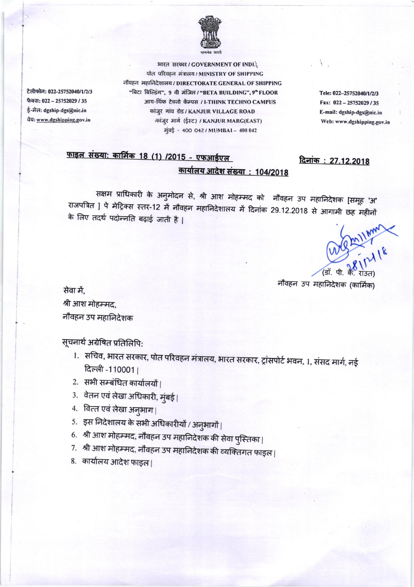

भारत सरकार / GOVERNMENT OF INDIA पोत परिवहन मंत्रालय / MINISTRY OF SHIPPING नौवहन महानिदेशालय / DIRECTORATE GENERAL OF SHIPPING "बिटा बिल्डिंग". 9 वी मंजिल / "BETA BUILDING", 9" FLOOR आय-थिंक टेक्नो कॅम्पस / I-THINK TECHNO CAMPUS कांज़ूर गांव रोड / KANJUR VILLAGE ROAD कांज़र मार्ग (ईस्ट) / KANJUR MARG(EAST) मुंबई - 400 042 / MUMBAI - 400 042

Tele: 022-25752040/1/2/3 Fax: 022-25752029/35 E-mail: dgship-dgs@nic.in Web: www.dgshipping.gov.in

दिनांक: 27.12.2018

## फाइल संख्या: कार्मिक 18 (1) /2015 - एफआईएल <u> कार्यालय आदेश संख्या : 104/2018</u>

सक्षम प्राधिकारी के अनुमोदन से, श्री आश मोहम्मद को नौवहन उप महानिदेशक [समूह 'अ' राजपत्रित ] पे मेट्रिक्स स्तर-12 में नौवहन महानिदेशालय में दिनांक 29.12.2018 से आगामी छह महीनों के लिए तदर्थ पदोन्नति बढ़ाई जाती है |

We Mill Mm

नौवहन उप महानिदेशक (कार्मिक)

सेवा में. श्री आश मोहम्मद, नौवहन उप महानिदेशक

टेलीफोन: 022-25752040/1/2/3

फैक्स: 022 - 25752029 / 35

ई-मेल: dgship-dgs@nic.in

वेबः www.dgshipping.gov.in

सूचनार्थ अग्रेषित प्रतिलिपि:

- 1. सचिव, भारत सरकार, पोत परिवहन मंत्रालय, भारत सरकार, ट्रांसपोर्ट भवन, 1, संसद मार्ग, नई दिल्ली -110001।
- 2. सभी सम्बंधित कार्यालयों |
- 3. वेतन एवं लेखा अधिकारी, मुंबई।
- 4. वित्त एवं लेखा अनुभाग|
- 5. इस निदेशालय के सभी अधिकारीयों / अनुभागों |
- 6. श्री आश मोहम्मद, नौवहन उप महानिदेशक की सेवा पुस्तिका |
- 7. श्री आश मोहम्मद, नौवहन उप महानिदेशक की व्यक्तिगत फाइल।
- 8. कार्यालय आदेश फाइल।